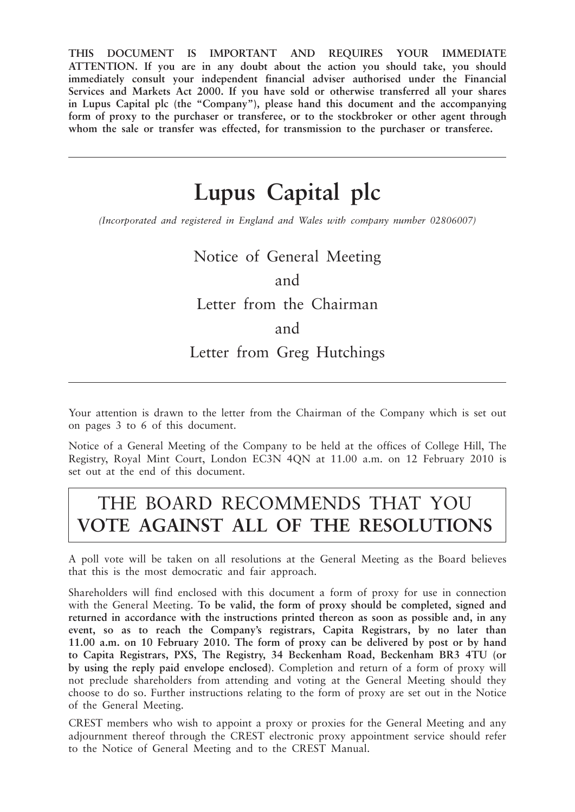**THIS DOCUMENT IS IMPORTANT AND REQUIRES YOUR IMMEDIATE ATTENTION. If you are in any doubt about the action you should take, you should immediately consult your independent financial adviser authorised under the Financial Services and Markets Act 2000. If you have sold or otherwise transferred all your shares in Lupus Capital plc (the "Company"), please hand this document and the accompanying form of proxy to the purchaser or transferee, or to the stockbroker or other agent through whom the sale or transfer was effected, for transmission to the purchaser or transferee.**

# **Lupus Capital plc**

*(Incorporated and registered in England and Wales with company number 02806007)*

Notice of General Meeting

and

## Letter from the Chairman

and

Letter from Greg Hutchings

Your attention is drawn to the letter from the Chairman of the Company which is set out on pages 3 to 6 of this document.

Notice of a General Meeting of the Company to be held at the offices of College Hill, The Registry, Royal Mint Court, London EC3N 4QN at 11.00 a.m. on 12 February 2010 is set out at the end of this document.

# THE BOARD RECOMMENDS THAT YOU **VOTE AGAINST ALL OF THE RESOLUTIONS**

A poll vote will be taken on all resolutions at the General Meeting as the Board believes that this is the most democratic and fair approach.

Shareholders will find enclosed with this document a form of proxy for use in connection with the General Meeting. **To be valid, the form of proxy should be completed, signed and returned in accordance with the instructions printed thereon as soon as possible and, in any event, so as to reach the Company's registrars, Capita Registrars, by no later than 11.00 a.m. on 10 February 2010. The form of proxy can be delivered by post or by hand to Capita Registrars, PXS, The Registry, 34 Beckenham Road, Beckenham BR3 4TU (or by using the reply paid envelope enclosed)**. Completion and return of a form of proxy will not preclude shareholders from attending and voting at the General Meeting should they choose to do so. Further instructions relating to the form of proxy are set out in the Notice of the General Meeting.

CREST members who wish to appoint a proxy or proxies for the General Meeting and any adjournment thereof through the CREST electronic proxy appointment service should refer to the Notice of General Meeting and to the CREST Manual.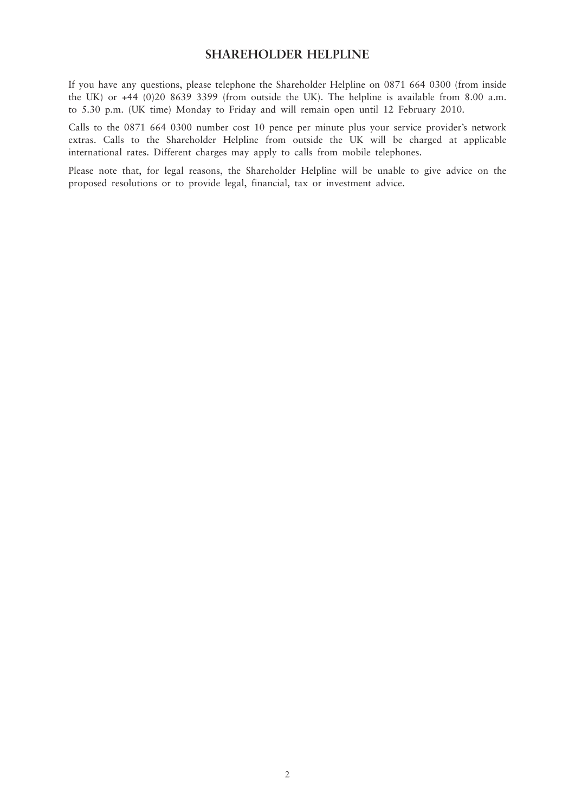### **SHAREHOLDER HELPLINE**

If you have any questions, please telephone the Shareholder Helpline on 0871 664 0300 (from inside the UK) or +44 (0)20 8639 3399 (from outside the UK). The helpline is available from 8.00 a.m. to 5.30 p.m. (UK time) Monday to Friday and will remain open until 12 February 2010.

Calls to the 0871 664 0300 number cost 10 pence per minute plus your service provider's network extras. Calls to the Shareholder Helpline from outside the UK will be charged at applicable international rates. Different charges may apply to calls from mobile telephones.

Please note that, for legal reasons, the Shareholder Helpline will be unable to give advice on the proposed resolutions or to provide legal, financial, tax or investment advice.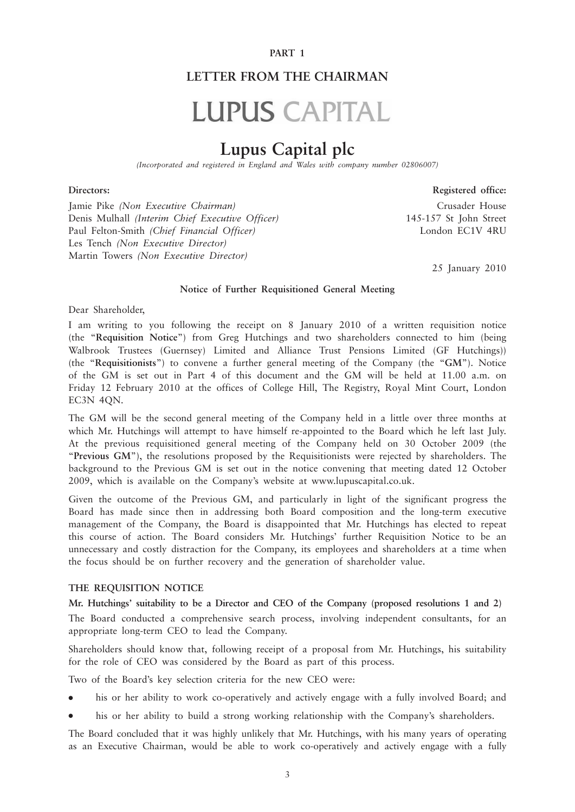#### **PART 1**

## **LETTER FROM THE CHAIRMAN**

# **LUPUS CAPITAL**

# **Lupus Capital plc**

*(Incorporated and registered in England and Wales with company number 02806007)*

#### **Directors: Registered office:**

Jamie Pike *(Non Executive Chairman)* Crusader House Denis Mulhall *(Interim Chief Executive Officer)* 145-157 St John Street Paul Felton-Smith *(Chief Financial Officer)* London EC1V 4RU Les Tench *(Non Executive Director)* Martin Towers *(Non Executive Director)*

25 January 2010

#### **Notice of Further Requisitioned General Meeting**

Dear Shareholder,

I am writing to you following the receipt on 8 January 2010 of a written requisition notice (the "**Requisition Notice**") from Greg Hutchings and two shareholders connected to him (being Walbrook Trustees (Guernsey) Limited and Alliance Trust Pensions Limited (GF Hutchings)) (the "**Requisitionists**") to convene a further general meeting of the Company (the "**GM**"). Notice of the GM is set out in Part 4 of this document and the GM will be held at 11.00 a.m. on Friday 12 February 2010 at the offices of College Hill, The Registry, Royal Mint Court, London EC3N 4QN.

The GM will be the second general meeting of the Company held in a little over three months at which Mr. Hutchings will attempt to have himself re-appointed to the Board which he left last July. At the previous requisitioned general meeting of the Company held on 30 October 2009 (the "**Previous GM**"), the resolutions proposed by the Requisitionists were rejected by shareholders. The background to the Previous GM is set out in the notice convening that meeting dated 12 October 2009, which is available on the Company's website at www.lupuscapital.co.uk.

Given the outcome of the Previous GM, and particularly in light of the significant progress the Board has made since then in addressing both Board composition and the long-term executive management of the Company, the Board is disappointed that Mr. Hutchings has elected to repeat this course of action. The Board considers Mr. Hutchings' further Requisition Notice to be an unnecessary and costly distraction for the Company, its employees and shareholders at a time when the focus should be on further recovery and the generation of shareholder value.

#### **THE REQUISITION NOTICE**

**Mr. Hutchings' suitability to be a Director and CEO of the Company (proposed resolutions 1 and 2)** The Board conducted a comprehensive search process, involving independent consultants, for an appropriate long-term CEO to lead the Company.

Shareholders should know that, following receipt of a proposal from Mr. Hutchings, his suitability for the role of CEO was considered by the Board as part of this process.

Two of the Board's key selection criteria for the new CEO were:

- his or her ability to work co-operatively and actively engage with a fully involved Board; and
- his or her ability to build a strong working relationship with the Company's shareholders.

The Board concluded that it was highly unlikely that Mr. Hutchings, with his many years of operating as an Executive Chairman, would be able to work co-operatively and actively engage with a fully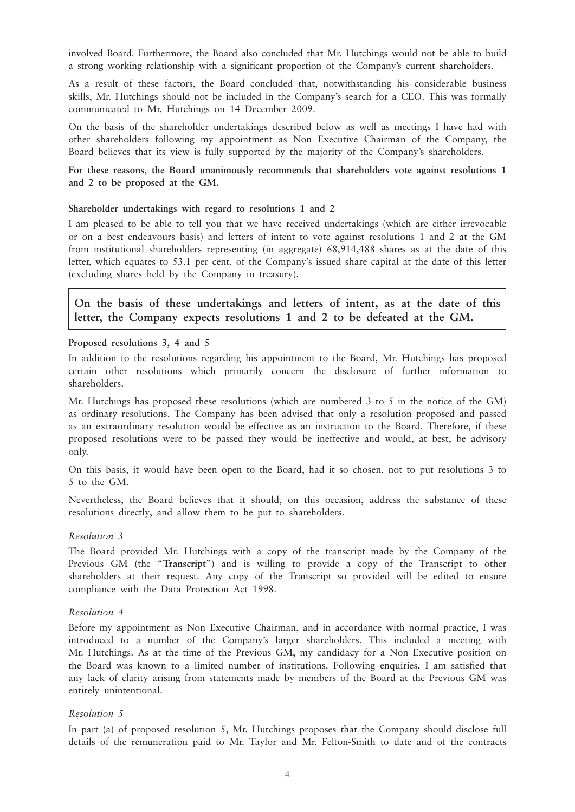involved Board. Furthermore, the Board also concluded that Mr. Hutchings would not be able to build a strong working relationship with a significant proportion of the Company's current shareholders.

As a result of these factors, the Board concluded that, notwithstanding his considerable business skills, Mr. Hutchings should not be included in the Company's search for a CEO. This was formally communicated to Mr. Hutchings on 14 December 2009.

On the basis of the shareholder undertakings described below as well as meetings I have had with other shareholders following my appointment as Non Executive Chairman of the Company, the Board believes that its view is fully supported by the majority of the Company's shareholders.

#### **For these reasons, the Board unanimously recommends that shareholders vote against resolutions 1 and 2 to be proposed at the GM.**

#### **Shareholder undertakings with regard to resolutions 1 and 2**

I am pleased to be able to tell you that we have received undertakings (which are either irrevocable or on a best endeavours basis) and letters of intent to vote against resolutions 1 and 2 at the GM from institutional shareholders representing (in aggregate) 68,914,488 shares as at the date of this letter, which equates to 53.1 per cent. of the Company's issued share capital at the date of this letter (excluding shares held by the Company in treasury).

**On the basis of these undertakings and letters of intent, as at the date of this letter, the Company expects resolutions 1 and 2 to be defeated at the GM.**

#### **Proposed resolutions 3, 4 and 5**

In addition to the resolutions regarding his appointment to the Board, Mr. Hutchings has proposed certain other resolutions which primarily concern the disclosure of further information to shareholders.

Mr. Hutchings has proposed these resolutions (which are numbered 3 to 5 in the notice of the GM) as ordinary resolutions. The Company has been advised that only a resolution proposed and passed as an extraordinary resolution would be effective as an instruction to the Board. Therefore, if these proposed resolutions were to be passed they would be ineffective and would, at best, be advisory only.

On this basis, it would have been open to the Board, had it so chosen, not to put resolutions 3 to 5 to the GM.

Nevertheless, the Board believes that it should, on this occasion, address the substance of these resolutions directly, and allow them to be put to shareholders.

#### *Resolution 3*

The Board provided Mr. Hutchings with a copy of the transcript made by the Company of the Previous GM (the "**Transcript**") and is willing to provide a copy of the Transcript to other shareholders at their request. Any copy of the Transcript so provided will be edited to ensure compliance with the Data Protection Act 1998.

#### *Resolution 4*

Before my appointment as Non Executive Chairman, and in accordance with normal practice, I was introduced to a number of the Company's larger shareholders. This included a meeting with Mr. Hutchings. As at the time of the Previous GM, my candidacy for a Non Executive position on the Board was known to a limited number of institutions. Following enquiries, I am satisfied that any lack of clarity arising from statements made by members of the Board at the Previous GM was entirely unintentional.

#### *Resolution 5*

In part (a) of proposed resolution 5, Mr. Hutchings proposes that the Company should disclose full details of the remuneration paid to Mr. Taylor and Mr. Felton-Smith to date and of the contracts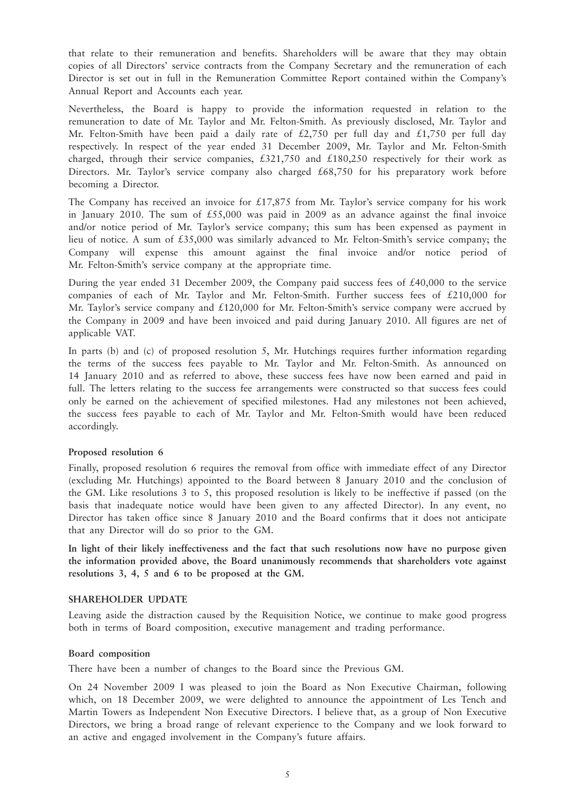that relate to their remuneration and benefits. Shareholders will be aware that they may obtain copies of all Directors' service contracts from the Company Secretary and the remuneration of each Director is set out in full in the Remuneration Committee Report contained within the Company's Annual Report and Accounts each year.

Nevertheless, the Board is happy to provide the information requested in relation to the remuneration to date of Mr. Taylor and Mr. Felton-Smith. As previously disclosed, Mr. Taylor and Mr. Felton-Smith have been paid a daily rate of £2,750 per full day and £1,750 per full day respectively. In respect of the year ended 31 December 2009, Mr. Taylor and Mr. Felton-Smith charged, through their service companies,  $£321,750$  and  $£180,250$  respectively for their work as Directors. Mr. Taylor's service company also charged £68,750 for his preparatory work before becoming a Director.

The Company has received an invoice for  $\text{\textsterling}17,875$  from Mr. Taylor's service company for his work in January 2010. The sum of  $£55,000$  was paid in 2009 as an advance against the final invoice and/or notice period of Mr. Taylor's service company; this sum has been expensed as payment in lieu of notice. A sum of £35,000 was similarly advanced to Mr. Felton-Smith's service company; the Company will expense this amount against the final invoice and/or notice period of Mr. Felton-Smith's service company at the appropriate time.

During the year ended 31 December 2009, the Company paid success fees of £40,000 to the service companies of each of Mr. Taylor and Mr. Felton-Smith. Further success fees of £210,000 for Mr. Taylor's service company and £120,000 for Mr. Felton-Smith's service company were accrued by the Company in 2009 and have been invoiced and paid during January 2010. All figures are net of applicable VAT.

In parts (b) and (c) of proposed resolution 5, Mr. Hutchings requires further information regarding the terms of the success fees payable to Mr. Taylor and Mr. Felton-Smith. As announced on 14 January 2010 and as referred to above, these success fees have now been earned and paid in full. The letters relating to the success fee arrangements were constructed so that success fees could only be earned on the achievement of specified milestones. Had any milestones not been achieved, the success fees payable to each of Mr. Taylor and Mr. Felton-Smith would have been reduced accordingly.

#### **Proposed resolution 6**

Finally, proposed resolution 6 requires the removal from office with immediate effect of any Director (excluding Mr. Hutchings) appointed to the Board between 8 January 2010 and the conclusion of the GM. Like resolutions 3 to 5, this proposed resolution is likely to be ineffective if passed (on the basis that inadequate notice would have been given to any affected Director). In any event, no Director has taken office since 8 January 2010 and the Board confirms that it does not anticipate that any Director will do so prior to the GM.

**In light of their likely ineffectiveness and the fact that such resolutions now have no purpose given the information provided above, the Board unanimously recommends that shareholders vote against resolutions 3, 4, 5 and 6 to be proposed at the GM.**

#### **SHAREHOLDER UPDATE**

Leaving aside the distraction caused by the Requisition Notice, we continue to make good progress both in terms of Board composition, executive management and trading performance.

#### **Board composition**

There have been a number of changes to the Board since the Previous GM.

On 24 November 2009 I was pleased to join the Board as Non Executive Chairman, following which, on 18 December 2009, we were delighted to announce the appointment of Les Tench and Martin Towers as Independent Non Executive Directors. I believe that, as a group of Non Executive Directors, we bring a broad range of relevant experience to the Company and we look forward to an active and engaged involvement in the Company's future affairs.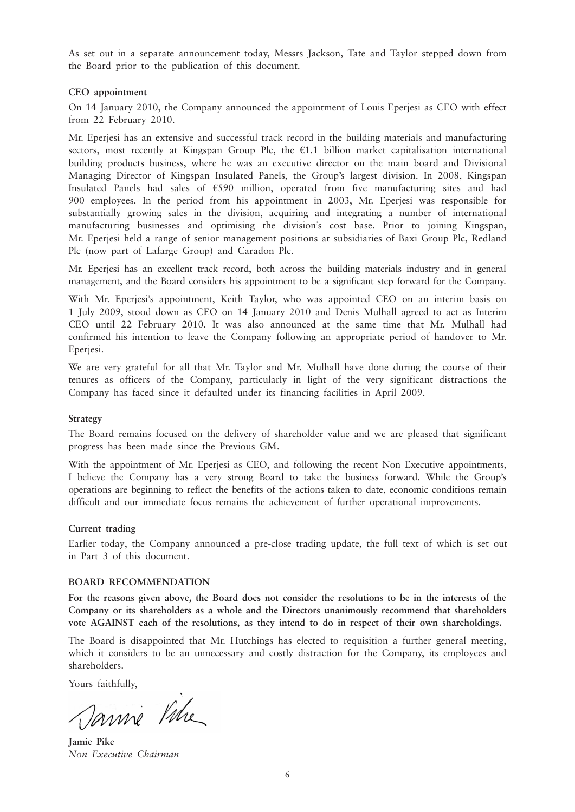As set out in a separate announcement today, Messrs Jackson, Tate and Taylor stepped down from the Board prior to the publication of this document.

#### **CEO appointment**

On 14 January 2010, the Company announced the appointment of Louis Eperjesi as CEO with effect from 22 February 2010.

Mr. Eperjesi has an extensive and successful track record in the building materials and manufacturing sectors, most recently at Kingspan Group Plc, the  $E1.1$  billion market capitalisation international building products business, where he was an executive director on the main board and Divisional Managing Director of Kingspan Insulated Panels, the Group's largest division. In 2008, Kingspan Insulated Panels had sales of  $£590$  million, operated from five manufacturing sites and had 900 employees. In the period from his appointment in 2003, Mr. Eperjesi was responsible for substantially growing sales in the division, acquiring and integrating a number of international manufacturing businesses and optimising the division's cost base. Prior to joining Kingspan, Mr. Eperjesi held a range of senior management positions at subsidiaries of Baxi Group Plc, Redland Plc (now part of Lafarge Group) and Caradon Plc.

Mr. Eperjesi has an excellent track record, both across the building materials industry and in general management, and the Board considers his appointment to be a significant step forward for the Company.

With Mr. Eperjesi's appointment, Keith Taylor, who was appointed CEO on an interim basis on 1 July 2009, stood down as CEO on 14 January 2010 and Denis Mulhall agreed to act as Interim CEO until 22 February 2010. It was also announced at the same time that Mr. Mulhall had confirmed his intention to leave the Company following an appropriate period of handover to Mr. Eperjesi.

We are very grateful for all that Mr. Taylor and Mr. Mulhall have done during the course of their tenures as officers of the Company, particularly in light of the very significant distractions the Company has faced since it defaulted under its financing facilities in April 2009.

#### **Strategy**

The Board remains focused on the delivery of shareholder value and we are pleased that significant progress has been made since the Previous GM.

With the appointment of Mr. Eperjesi as CEO, and following the recent Non Executive appointments, I believe the Company has a very strong Board to take the business forward. While the Group's operations are beginning to reflect the benefits of the actions taken to date, economic conditions remain difficult and our immediate focus remains the achievement of further operational improvements.

#### **Current trading**

Earlier today, the Company announced a pre-close trading update, the full text of which is set out in Part 3 of this document.

#### **BOARD RECOMMENDATION**

**For the reasons given above, the Board does not consider the resolutions to be in the interests of the Company or its shareholders as a whole and the Directors unanimously recommend that shareholders vote AGAINST each of the resolutions, as they intend to do in respect of their own shareholdings.**

The Board is disappointed that Mr. Hutchings has elected to requisition a further general meeting, which it considers to be an unnecessary and costly distraction for the Company, its employees and shareholders.

Yours faithfully,

Sannie Ville

**Jamie Pike** *Non Executive Chairman*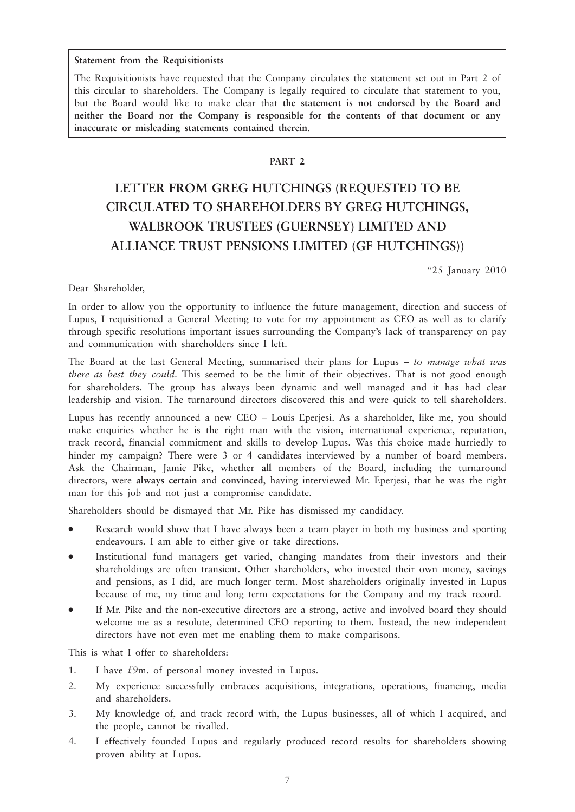#### **Statement from the Requisitionists**

The Requisitionists have requested that the Company circulates the statement set out in Part 2 of this circular to shareholders. The Company is legally required to circulate that statement to you, but the Board would like to make clear that **the statement is not endorsed by the Board and neither the Board nor the Company is responsible for the contents of that document or any inaccurate or misleading statements contained therein**.

#### **PART 2**

# **LETTER FROM GREG HUTCHINGS (REQUESTED TO BE CIRCULATED TO SHAREHOLDERS BY GREG HUTCHINGS, WALBROOK TRUSTEES (GUERNSEY) LIMITED AND ALLIANCE TRUST PENSIONS LIMITED (GF HUTCHINGS))**

"25 January 2010

#### Dear Shareholder,

In order to allow you the opportunity to influence the future management, direction and success of Lupus, I requisitioned a General Meeting to vote for my appointment as CEO as well as to clarify through specific resolutions important issues surrounding the Company's lack of transparency on pay and communication with shareholders since I left.

The Board at the last General Meeting, summarised their plans for Lupus – *to manage what was there as best they could*. This seemed to be the limit of their objectives. That is not good enough for shareholders. The group has always been dynamic and well managed and it has had clear leadership and vision. The turnaround directors discovered this and were quick to tell shareholders.

Lupus has recently announced a new CEO – Louis Eperjesi. As a shareholder, like me, you should make enquiries whether he is the right man with the vision, international experience, reputation, track record, financial commitment and skills to develop Lupus. Was this choice made hurriedly to hinder my campaign? There were 3 or 4 candidates interviewed by a number of board members. Ask the Chairman, Jamie Pike, whether **all** members of the Board, including the turnaround directors, were **always certain** and **convinced**, having interviewed Mr. Eperjesi, that he was the right man for this job and not just a compromise candidate.

Shareholders should be dismayed that Mr. Pike has dismissed my candidacy.

- Research would show that I have always been a team player in both my business and sporting endeavours. I am able to either give or take directions.
- Institutional fund managers get varied, changing mandates from their investors and their shareholdings are often transient. Other shareholders, who invested their own money, savings and pensions, as I did, are much longer term. Most shareholders originally invested in Lupus because of me, my time and long term expectations for the Company and my track record.
- If Mr. Pike and the non-executive directors are a strong, active and involved board they should welcome me as a resolute, determined CEO reporting to them. Instead, the new independent directors have not even met me enabling them to make comparisons.

This is what I offer to shareholders:

- 1. I have £9m. of personal money invested in Lupus.
- 2. My experience successfully embraces acquisitions, integrations, operations, financing, media and shareholders.
- 3. My knowledge of, and track record with, the Lupus businesses, all of which I acquired, and the people, cannot be rivalled.
- 4. I effectively founded Lupus and regularly produced record results for shareholders showing proven ability at Lupus.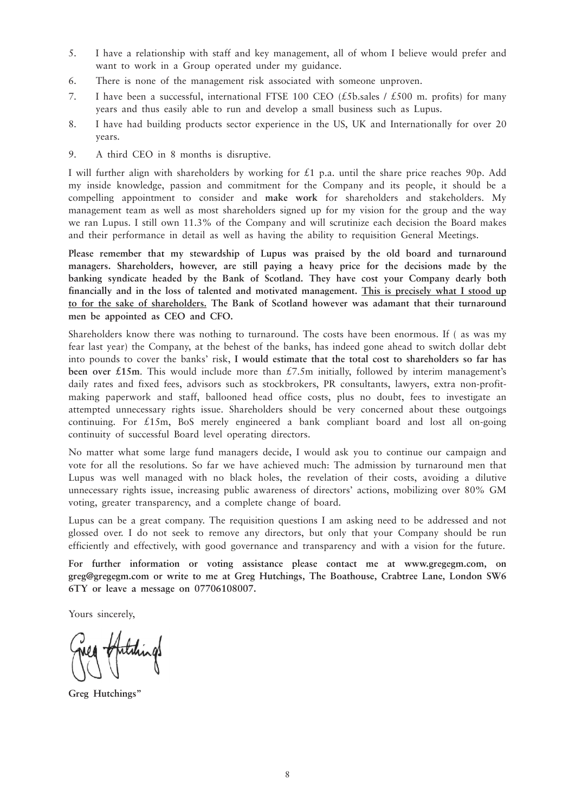- 5. I have a relationship with staff and key management, all of whom I believe would prefer and want to work in a Group operated under my guidance.
- 6. There is none of the management risk associated with someone unproven.
- 7. I have been a successful, international FTSE 100 CEO (£5b, sales / £500 m. profits) for many years and thus easily able to run and develop a small business such as Lupus.
- 8. I have had building products sector experience in the US, UK and Internationally for over 20 years.
- 9. A third CEO in 8 months is disruptive.

I will further align with shareholders by working for  $\pounds$ 1 p.a. until the share price reaches 90p. Add my inside knowledge, passion and commitment for the Company and its people, it should be a compelling appointment to consider and **make work** for shareholders and stakeholders. My management team as well as most shareholders signed up for my vision for the group and the way we ran Lupus. I still own 11.3% of the Company and will scrutinize each decision the Board makes and their performance in detail as well as having the ability to requisition General Meetings.

**Please remember that my stewardship of Lupus was praised by the old board and turnaround managers. Shareholders, however, are still paying a heavy price for the decisions made by the banking syndicate headed by the Bank of Scotland. They have cost your Company dearly both financially and in the loss of talented and motivated management. This is precisely what I stood up to for the sake of shareholders. The Bank of Scotland however was adamant that their turnaround men be appointed as CEO and CFO.** 

Shareholders know there was nothing to turnaround. The costs have been enormous. If ( as was my fear last year) the Company, at the behest of the banks, has indeed gone ahead to switch dollar debt into pounds to cover the banks' risk, **I would estimate that the total cost to shareholders so far has been over £15m.** This would include more than £7.5m initially, followed by interim management's daily rates and fixed fees, advisors such as stockbrokers, PR consultants, lawyers, extra non-profitmaking paperwork and staff, ballooned head office costs, plus no doubt, fees to investigate an attempted unnecessary rights issue. Shareholders should be very concerned about these outgoings continuing. For £15m, BoS merely engineered a bank compliant board and lost all on-going continuity of successful Board level operating directors.

No matter what some large fund managers decide, I would ask you to continue our campaign and vote for all the resolutions. So far we have achieved much: The admission by turnaround men that Lupus was well managed with no black holes, the revelation of their costs, avoiding a dilutive unnecessary rights issue, increasing public awareness of directors' actions, mobilizing over 80% GM voting, greater transparency, and a complete change of board.

Lupus can be a great company. The requisition questions I am asking need to be addressed and not glossed over. I do not seek to remove any directors, but only that your Company should be run efficiently and effectively, with good governance and transparency and with a vision for the future.

**For further information or voting assistance please contact me at www.gregegm.com, on greg@gregegm.com or write to me at Greg Hutchings, The Boathouse, Crabtree Lane, London SW6 6TY or leave a message on 07706108007.**

Yours sincerely,

Antihings

**Greg Hutchings"**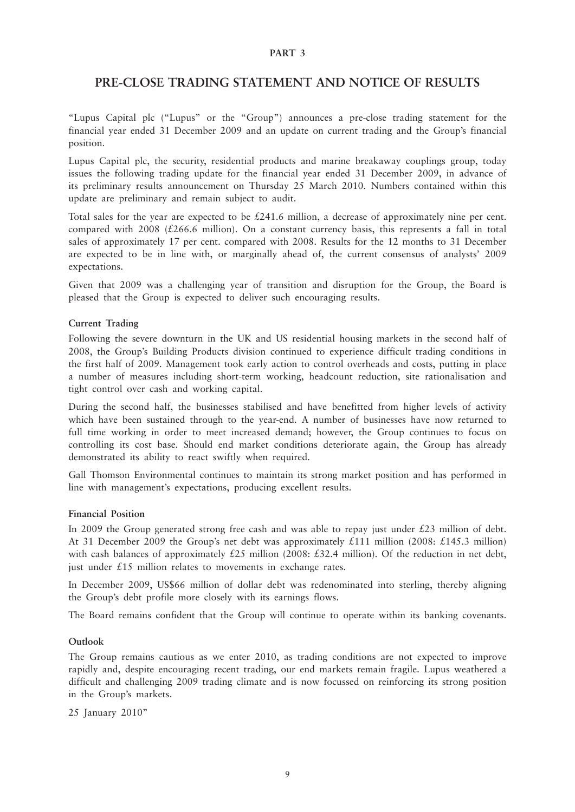#### **PART 3**

### **PRE-CLOSE TRADING STATEMENT AND NOTICE OF RESULTS**

"Lupus Capital plc ("Lupus" or the "Group") announces a pre-close trading statement for the financial year ended 31 December 2009 and an update on current trading and the Group's financial position.

Lupus Capital plc, the security, residential products and marine breakaway couplings group, today issues the following trading update for the financial year ended 31 December 2009, in advance of its preliminary results announcement on Thursday 25 March 2010. Numbers contained within this update are preliminary and remain subject to audit.

Total sales for the year are expected to be £241.6 million, a decrease of approximately nine per cent. compared with 2008 ( $\text{\pounds}266.6$  million). On a constant currency basis, this represents a fall in total sales of approximately 17 per cent. compared with 2008. Results for the 12 months to 31 December are expected to be in line with, or marginally ahead of, the current consensus of analysts' 2009 expectations.

Given that 2009 was a challenging year of transition and disruption for the Group, the Board is pleased that the Group is expected to deliver such encouraging results.

#### **Current Trading**

Following the severe downturn in the UK and US residential housing markets in the second half of 2008, the Group's Building Products division continued to experience difficult trading conditions in the first half of 2009. Management took early action to control overheads and costs, putting in place a number of measures including short-term working, headcount reduction, site rationalisation and tight control over cash and working capital.

During the second half, the businesses stabilised and have benefitted from higher levels of activity which have been sustained through to the year-end. A number of businesses have now returned to full time working in order to meet increased demand; however, the Group continues to focus on controlling its cost base. Should end market conditions deteriorate again, the Group has already demonstrated its ability to react swiftly when required.

Gall Thomson Environmental continues to maintain its strong market position and has performed in line with management's expectations, producing excellent results.

#### **Financial Position**

In 2009 the Group generated strong free cash and was able to repay just under  $£23$  million of debt. At 31 December 2009 the Group's net debt was approximately £111 million (2008: £145.3 million) with cash balances of approximately £25 million (2008: £32.4 million). Of the reduction in net debt, just under £15 million relates to movements in exchange rates.

In December 2009, US\$66 million of dollar debt was redenominated into sterling, thereby aligning the Group's debt profile more closely with its earnings flows.

The Board remains confident that the Group will continue to operate within its banking covenants.

#### **Outlook**

The Group remains cautious as we enter 2010, as trading conditions are not expected to improve rapidly and, despite encouraging recent trading, our end markets remain fragile. Lupus weathered a difficult and challenging 2009 trading climate and is now focussed on reinforcing its strong position in the Group's markets.

25 January 2010"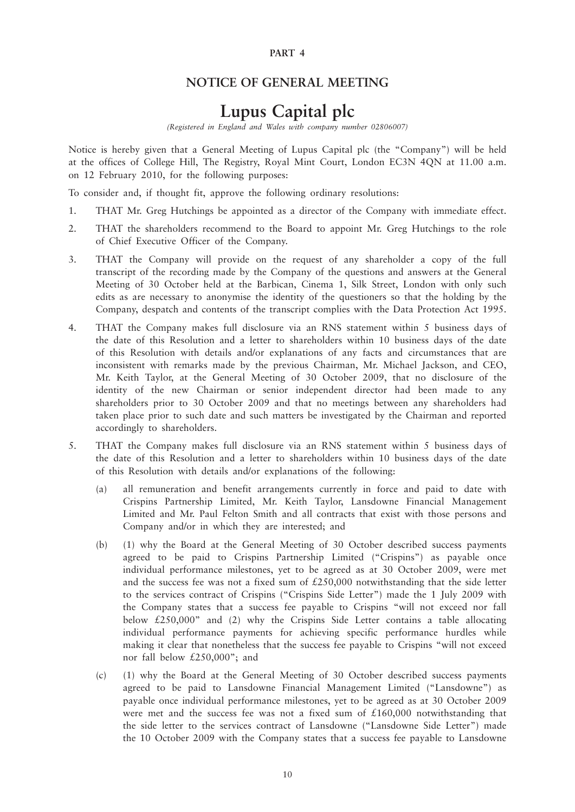#### **PART 4**

## **NOTICE OF GENERAL MEETING**

# **Lupus Capital plc**

*(Registered in England and Wales with company number 02806007)*

Notice is hereby given that a General Meeting of Lupus Capital plc (the "Company") will be held at the offices of College Hill, The Registry, Royal Mint Court, London EC3N 4QN at 11.00 a.m. on 12 February 2010, for the following purposes:

To consider and, if thought fit, approve the following ordinary resolutions:

- 1. THAT Mr. Greg Hutchings be appointed as a director of the Company with immediate effect.
- 2. THAT the shareholders recommend to the Board to appoint Mr. Greg Hutchings to the role of Chief Executive Officer of the Company.
- 3. THAT the Company will provide on the request of any shareholder a copy of the full transcript of the recording made by the Company of the questions and answers at the General Meeting of 30 October held at the Barbican, Cinema 1, Silk Street, London with only such edits as are necessary to anonymise the identity of the questioners so that the holding by the Company, despatch and contents of the transcript complies with the Data Protection Act 1995.
- 4. THAT the Company makes full disclosure via an RNS statement within 5 business days of the date of this Resolution and a letter to shareholders within 10 business days of the date of this Resolution with details and/or explanations of any facts and circumstances that are inconsistent with remarks made by the previous Chairman, Mr. Michael Jackson, and CEO, Mr. Keith Taylor, at the General Meeting of 30 October 2009, that no disclosure of the identity of the new Chairman or senior independent director had been made to any shareholders prior to 30 October 2009 and that no meetings between any shareholders had taken place prior to such date and such matters be investigated by the Chairman and reported accordingly to shareholders.
- 5. THAT the Company makes full disclosure via an RNS statement within 5 business days of the date of this Resolution and a letter to shareholders within 10 business days of the date of this Resolution with details and/or explanations of the following:
	- (a) all remuneration and benefit arrangements currently in force and paid to date with Crispins Partnership Limited, Mr. Keith Taylor, Lansdowne Financial Management Limited and Mr. Paul Felton Smith and all contracts that exist with those persons and Company and/or in which they are interested; and
	- (b) (1) why the Board at the General Meeting of 30 October described success payments agreed to be paid to Crispins Partnership Limited ("Crispins") as payable once individual performance milestones, yet to be agreed as at 30 October 2009, were met and the success fee was not a fixed sum of  $£250,000$  notwithstanding that the side letter to the services contract of Crispins ("Crispins Side Letter") made the 1 July 2009 with the Company states that a success fee payable to Crispins "will not exceed nor fall below  $£250,000"$  and (2) why the Crispins Side Letter contains a table allocating individual performance payments for achieving specific performance hurdles while making it clear that nonetheless that the success fee payable to Crispins "will not exceed nor fall below £250,000"; and
	- (c) (1) why the Board at the General Meeting of 30 October described success payments agreed to be paid to Lansdowne Financial Management Limited ("Lansdowne") as payable once individual performance milestones, yet to be agreed as at 30 October 2009 were met and the success fee was not a fixed sum of £160,000 notwithstanding that the side letter to the services contract of Lansdowne ("Lansdowne Side Letter") made the 10 October 2009 with the Company states that a success fee payable to Lansdowne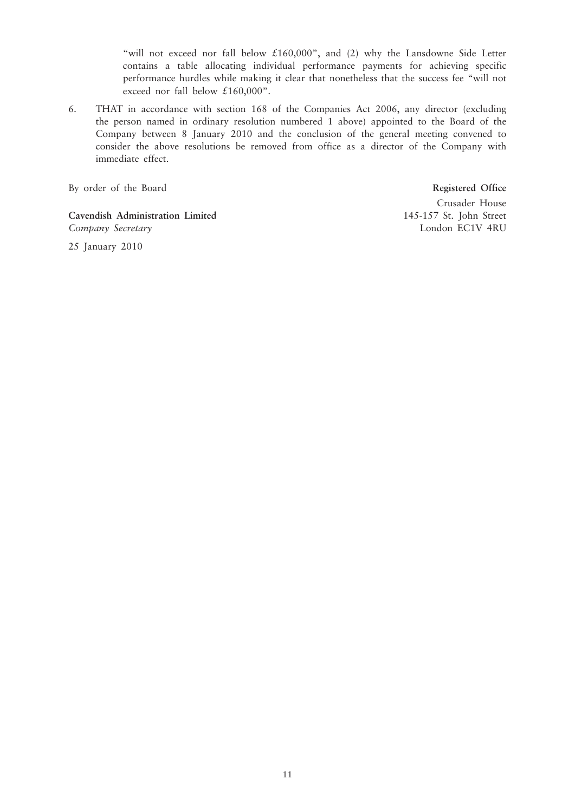"will not exceed nor fall below £160,000", and (2) why the Lansdowne Side Letter contains a table allocating individual performance payments for achieving specific performance hurdles while making it clear that nonetheless that the success fee "will not exceed nor fall below £160,000".

6. THAT in accordance with section 168 of the Companies Act 2006, any director (excluding the person named in ordinary resolution numbered 1 above) appointed to the Board of the Company between 8 January 2010 and the conclusion of the general meeting convened to consider the above resolutions be removed from office as a director of the Company with immediate effect.

By order of the Board **Registered Office**

**Cavendish Administration Limited** 145-157 St. John Street *Company Secretary* London EC1V 4RU

Crusader House

25 January 2010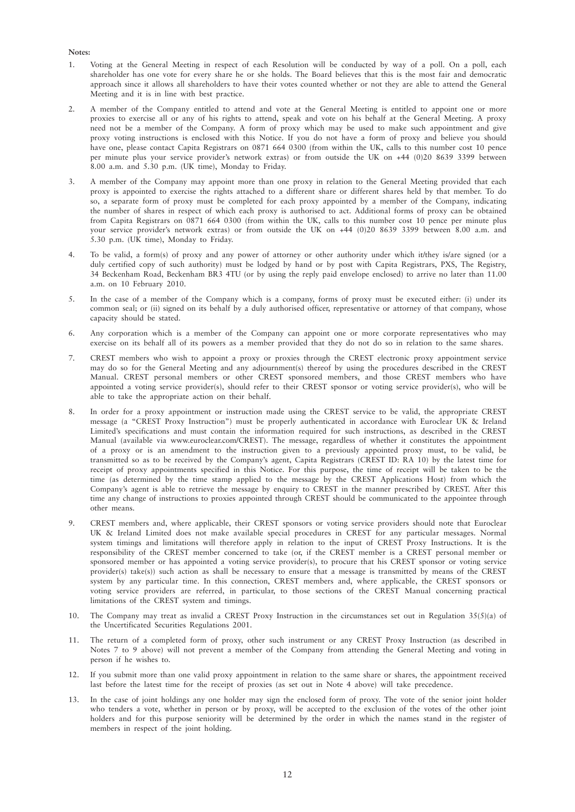#### **Notes:**

- 1. Voting at the General Meeting in respect of each Resolution will be conducted by way of a poll. On a poll, each shareholder has one vote for every share he or she holds. The Board believes that this is the most fair and democratic approach since it allows all shareholders to have their votes counted whether or not they are able to attend the General Meeting and it is in line with best practice.
- 2. A member of the Company entitled to attend and vote at the General Meeting is entitled to appoint one or more proxies to exercise all or any of his rights to attend, speak and vote on his behalf at the General Meeting. A proxy need not be a member of the Company. A form of proxy which may be used to make such appointment and give proxy voting instructions is enclosed with this Notice. If you do not have a form of proxy and believe you should have one, please contact Capita Registrars on 0871 664 0300 (from within the UK, calls to this number cost 10 pence per minute plus your service provider's network extras) or from outside the UK on +44 (0)20 8639 3399 between  $8.00$  a.m. and  $5.30$  p.m. (UK time), Monday to Friday.
- 3. A member of the Company may appoint more than one proxy in relation to the General Meeting provided that each proxy is appointed to exercise the rights attached to a different share or different shares held by that member. To do so, a separate form of proxy must be completed for each proxy appointed by a member of the Company, indicating the number of shares in respect of which each proxy is authorised to act. Additional forms of proxy can be obtained from Capita Registrars on 0871 664 0300 (from within the UK, calls to this number cost 10 pence per minute plus your service provider's network extras) or from outside the UK on +44 (0)20 8639 3399 between 8.00 a.m. and 5.30 p.m. (UK time), Monday to Friday.
- 4. To be valid, a form(s) of proxy and any power of attorney or other authority under which it/they is/are signed (or a duly certified copy of such authority) must be lodged by hand or by post with Capita Registrars, PXS, The Registry, 34 Beckenham Road, Beckenham BR3 4TU (or by using the reply paid envelope enclosed) to arrive no later than 11.00 a.m. on 10 February 2010.
- 5. In the case of a member of the Company which is a company, forms of proxy must be executed either: (i) under its common seal; or (ii) signed on its behalf by a duly authorised officer, representative or attorney of that company, whose capacity should be stated.
- 6. Any corporation which is a member of the Company can appoint one or more corporate representatives who may exercise on its behalf all of its powers as a member provided that they do not do so in relation to the same shares.
- 7. CREST members who wish to appoint a proxy or proxies through the CREST electronic proxy appointment service may do so for the General Meeting and any adjournment(s) thereof by using the procedures described in the CREST Manual. CREST personal members or other CREST sponsored members, and those CREST members who have appointed a voting service provider(s), should refer to their CREST sponsor or voting service provider(s), who will be able to take the appropriate action on their behalf.
- 8. In order for a proxy appointment or instruction made using the CREST service to be valid, the appropriate CREST message (a "CREST Proxy Instruction") must be properly authenticated in accordance with Euroclear UK & Ireland Limited's specifications and must contain the information required for such instructions, as described in the CREST Manual (available via www.euroclear.com/CREST). The message, regardless of whether it constitutes the appointment of a proxy or is an amendment to the instruction given to a previously appointed proxy must, to be valid, be transmitted so as to be received by the Company's agent, Capita Registrars (CREST ID: RA 10) by the latest time for receipt of proxy appointments specified in this Notice. For this purpose, the time of receipt will be taken to be the time (as determined by the time stamp applied to the message by the CREST Applications Host) from which the Company's agent is able to retrieve the message by enquiry to CREST in the manner prescribed by CREST. After this time any change of instructions to proxies appointed through CREST should be communicated to the appointee through other means.
- 9. CREST members and, where applicable, their CREST sponsors or voting service providers should note that Euroclear UK & Ireland Limited does not make available special procedures in CREST for any particular messages. Normal system timings and limitations will therefore apply in relation to the input of CREST Proxy Instructions. It is the responsibility of the CREST member concerned to take (or, if the CREST member is a CREST personal member or sponsored member or has appointed a voting service provider(s), to procure that his CREST sponsor or voting service provider(s) take(s)) such action as shall be necessary to ensure that a message is transmitted by means of the CREST system by any particular time. In this connection, CREST members and, where applicable, the CREST sponsors or voting service providers are referred, in particular, to those sections of the CREST Manual concerning practical limitations of the CREST system and timings.
- 10. The Company may treat as invalid a CREST Proxy Instruction in the circumstances set out in Regulation 35(5)(a) of the Uncertificated Securities Regulations 2001.
- 11. The return of a completed form of proxy, other such instrument or any CREST Proxy Instruction (as described in Notes 7 to 9 above) will not prevent a member of the Company from attending the General Meeting and voting in person if he wishes to.
- 12. If you submit more than one valid proxy appointment in relation to the same share or shares, the appointment received last before the latest time for the receipt of proxies (as set out in Note 4 above) will take precedence.
- 13. In the case of joint holdings any one holder may sign the enclosed form of proxy. The vote of the senior joint holder who tenders a vote, whether in person or by proxy, will be accepted to the exclusion of the votes of the other joint holders and for this purpose seniority will be determined by the order in which the names stand in the register of members in respect of the joint holding.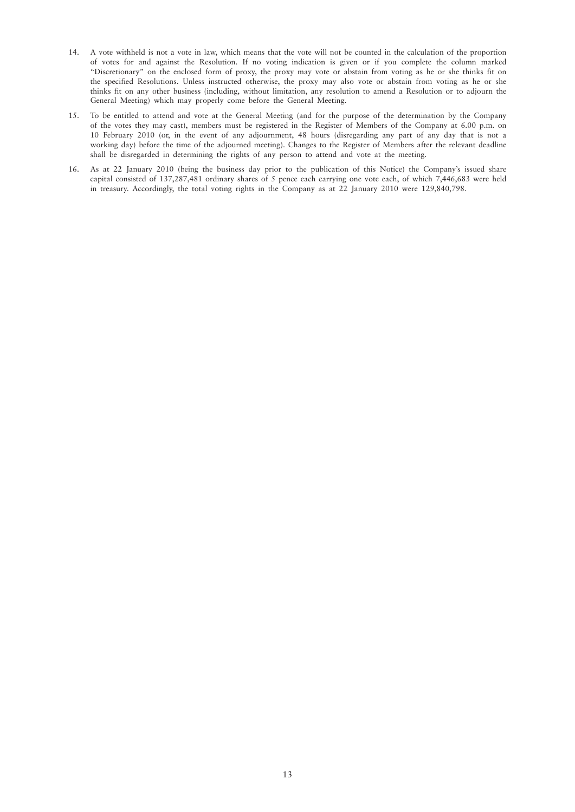- 14. A vote withheld is not a vote in law, which means that the vote will not be counted in the calculation of the proportion of votes for and against the Resolution. If no voting indication is given or if you complete the column marked "Discretionary" on the enclosed form of proxy, the proxy may vote or abstain from voting as he or she thinks fit on the specified Resolutions. Unless instructed otherwise, the proxy may also vote or abstain from voting as he or she thinks fit on any other business (including, without limitation, any resolution to amend a Resolution or to adjourn the General Meeting) which may properly come before the General Meeting.
- 15. To be entitled to attend and vote at the General Meeting (and for the purpose of the determination by the Company of the votes they may cast), members must be registered in the Register of Members of the Company at 6.00 p.m. on 10 February 2010 (or, in the event of any adjournment, 48 hours (disregarding any part of any day that is not a working day) before the time of the adjourned meeting). Changes to the Register of Members after the relevant deadline shall be disregarded in determining the rights of any person to attend and vote at the meeting.
- 16. As at 22 January 2010 (being the business day prior to the publication of this Notice) the Company's issued share capital consisted of 137,287,481 ordinary shares of 5 pence each carrying one vote each, of which 7,446,683 were held in treasury. Accordingly, the total voting rights in the Company as at 22 January 2010 were 129,840,798.